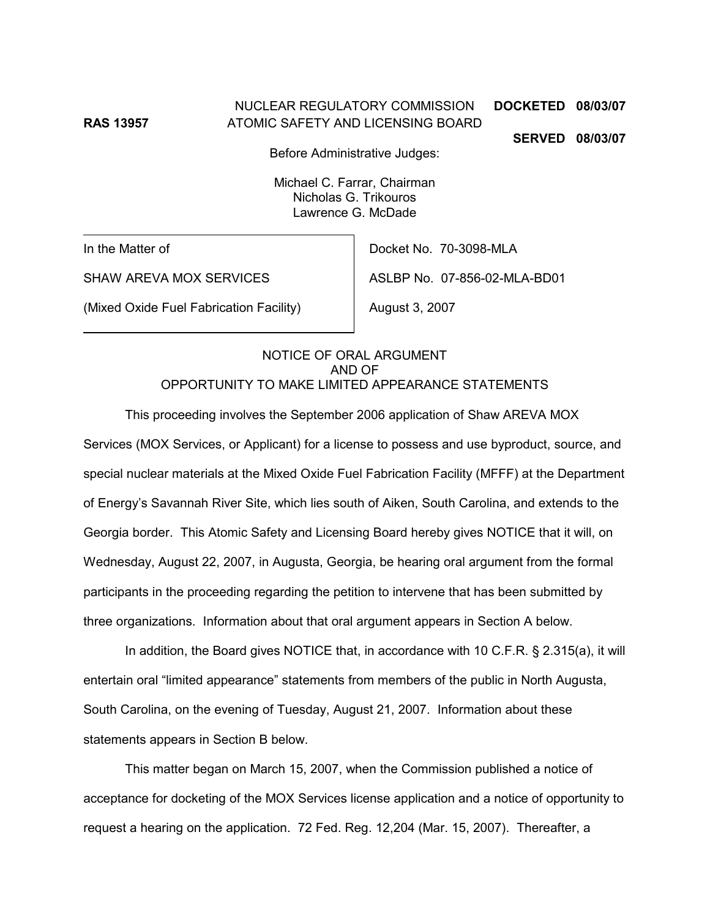NUCLEAR REGULATORY COMMISSION **DOCKETED 08/03/07 RAS 13957** ATOMIC SAFETY AND LICENSING BOARD

**SERVED 08/03/07**

Before Administrative Judges:

Michael C. Farrar, Chairman Nicholas G. Trikouros Lawrence G. McDade

In the Matter of

Docket No. 70-3098-MLA

ASLBP No. 07-856-02-MLA-BD01

SHAW AREVA MOX SERVICES

(Mixed Oxide Fuel Fabrication Facility)

August 3, 2007

### NOTICE OF ORAL ARGUMENT AND OF OPPORTUNITY TO MAKE LIMITED APPEARANCE STATEMENTS

This proceeding involves the September 2006 application of Shaw AREVA MOX Services (MOX Services, or Applicant) for a license to possess and use byproduct, source, and special nuclear materials at the Mixed Oxide Fuel Fabrication Facility (MFFF) at the Department of Energy's Savannah River Site, which lies south of Aiken, South Carolina, and extends to the Georgia border. This Atomic Safety and Licensing Board hereby gives NOTICE that it will, on Wednesday, August 22, 2007, in Augusta, Georgia, be hearing oral argument from the formal participants in the proceeding regarding the petition to intervene that has been submitted by three organizations. Information about that oral argument appears in Section A below.

In addition, the Board gives NOTICE that, in accordance with 10 C.F.R. § 2.315(a), it will entertain oral "limited appearance" statements from members of the public in North Augusta, South Carolina, on the evening of Tuesday, August 21, 2007. Information about these statements appears in Section B below.

This matter began on March 15, 2007, when the Commission published a notice of acceptance for docketing of the MOX Services license application and a notice of opportunity to request a hearing on the application. 72 Fed. Reg. 12,204 (Mar. 15, 2007). Thereafter, a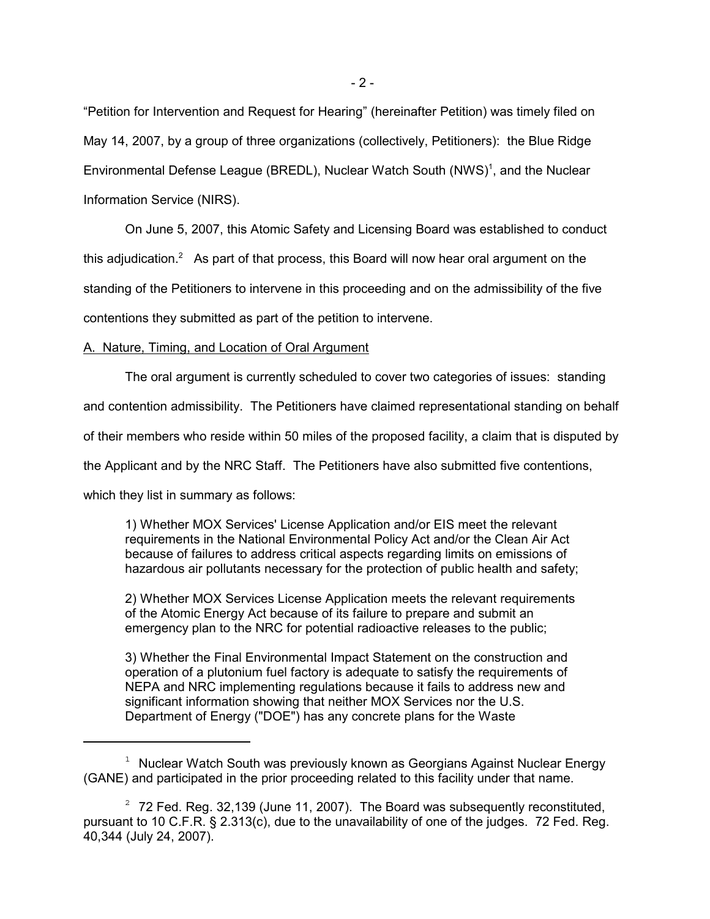"Petition for Intervention and Request for Hearing" (hereinafter Petition) was timely filed on May 14, 2007, by a group of three organizations (collectively, Petitioners): the Blue Ridge Environmental Defense League (BREDL), Nuclear Watch South (NWS)<sup>1</sup>, and the Nuclear Information Service (NIRS).

On June 5, 2007, this Atomic Safety and Licensing Board was established to conduct this adjudication.<sup>2</sup> As part of that process, this Board will now hear oral argument on the standing of the Petitioners to intervene in this proceeding and on the admissibility of the five contentions they submitted as part of the petition to intervene.

### A. Nature, Timing, and Location of Oral Argument

The oral argument is currently scheduled to cover two categories of issues: standing

and contention admissibility. The Petitioners have claimed representational standing on behalf

of their members who reside within 50 miles of the proposed facility, a claim that is disputed by

the Applicant and by the NRC Staff. The Petitioners have also submitted five contentions,

which they list in summary as follows:

1) Whether MOX Services' License Application and/or EIS meet the relevant requirements in the National Environmental Policy Act and/or the Clean Air Act because of failures to address critical aspects regarding limits on emissions of hazardous air pollutants necessary for the protection of public health and safety;

2) Whether MOX Services License Application meets the relevant requirements of the Atomic Energy Act because of its failure to prepare and submit an emergency plan to the NRC for potential radioactive releases to the public;

3) Whether the Final Environmental Impact Statement on the construction and operation of a plutonium fuel factory is adequate to satisfy the requirements of NEPA and NRC implementing regulations because it fails to address new and significant information showing that neither MOX Services nor the U.S. Department of Energy ("DOE") has any concrete plans for the Waste

<sup>&</sup>lt;sup>1</sup> Nuclear Watch South was previously known as Georgians Against Nuclear Energy (GANE) and participated in the prior proceeding related to this facility under that name.

 $2\overline{2}$  72 Fed. Reg. 32,139 (June 11, 2007). The Board was subsequently reconstituted, pursuant to 10 C.F.R. § 2.313(c), due to the unavailability of one of the judges. 72 Fed. Reg. 40,344 (July 24, 2007).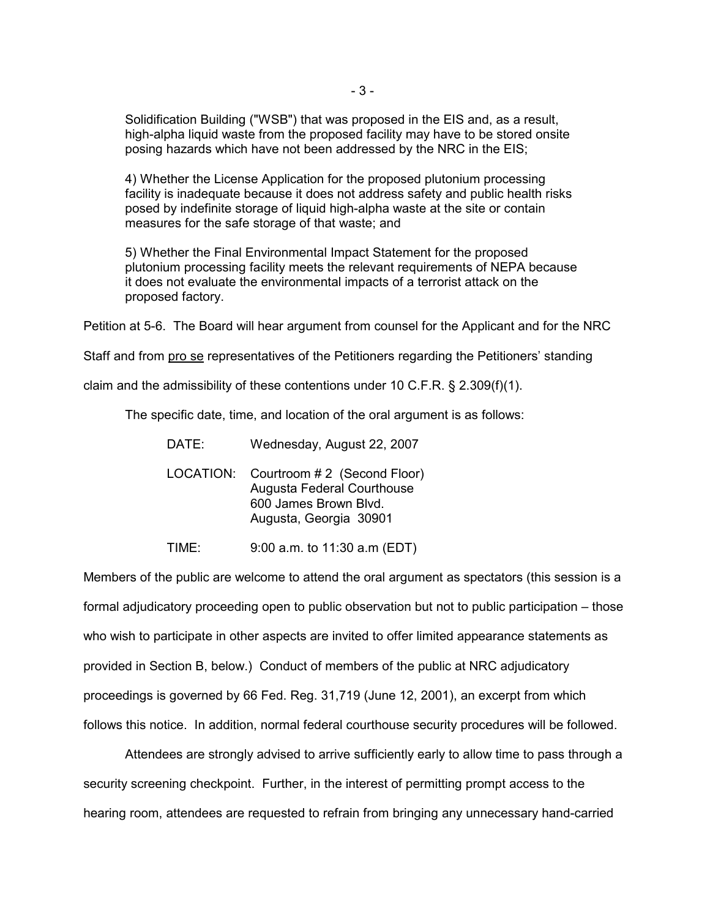Solidification Building ("WSB") that was proposed in the EIS and, as a result, high-alpha liquid waste from the proposed facility may have to be stored onsite posing hazards which have not been addressed by the NRC in the EIS;

4) Whether the License Application for the proposed plutonium processing facility is inadequate because it does not address safety and public health risks posed by indefinite storage of liquid high-alpha waste at the site or contain measures for the safe storage of that waste; and

5) Whether the Final Environmental Impact Statement for the proposed plutonium processing facility meets the relevant requirements of NEPA because it does not evaluate the environmental impacts of a terrorist attack on the proposed factory.

Petition at 5-6. The Board will hear argument from counsel for the Applicant and for the NRC

Staff and from pro se representatives of the Petitioners regarding the Petitioners' standing

claim and the admissibility of these contentions under 10 C.F.R. § 2.309(f)(1).

The specific date, time, and location of the oral argument is as follows:

|                                                                                                                               | DATE: |
|-------------------------------------------------------------------------------------------------------------------------------|-------|
| LOCATION: Courtroom #2 (Second Floor)<br><b>Augusta Federal Courthouse</b><br>600 James Brown Blvd.<br>Augusta, Georgia 30901 |       |

TIME: 9:00 a.m. to 11:30 a.m (EDT)

Members of the public are welcome to attend the oral argument as spectators (this session is a formal adjudicatory proceeding open to public observation but not to public participation – those who wish to participate in other aspects are invited to offer limited appearance statements as provided in Section B, below.) Conduct of members of the public at NRC adjudicatory proceedings is governed by 66 Fed. Reg. 31,719 (June 12, 2001), an excerpt from which follows this notice. In addition, normal federal courthouse security procedures will be followed.

Attendees are strongly advised to arrive sufficiently early to allow time to pass through a security screening checkpoint. Further, in the interest of permitting prompt access to the hearing room, attendees are requested to refrain from bringing any unnecessary hand-carried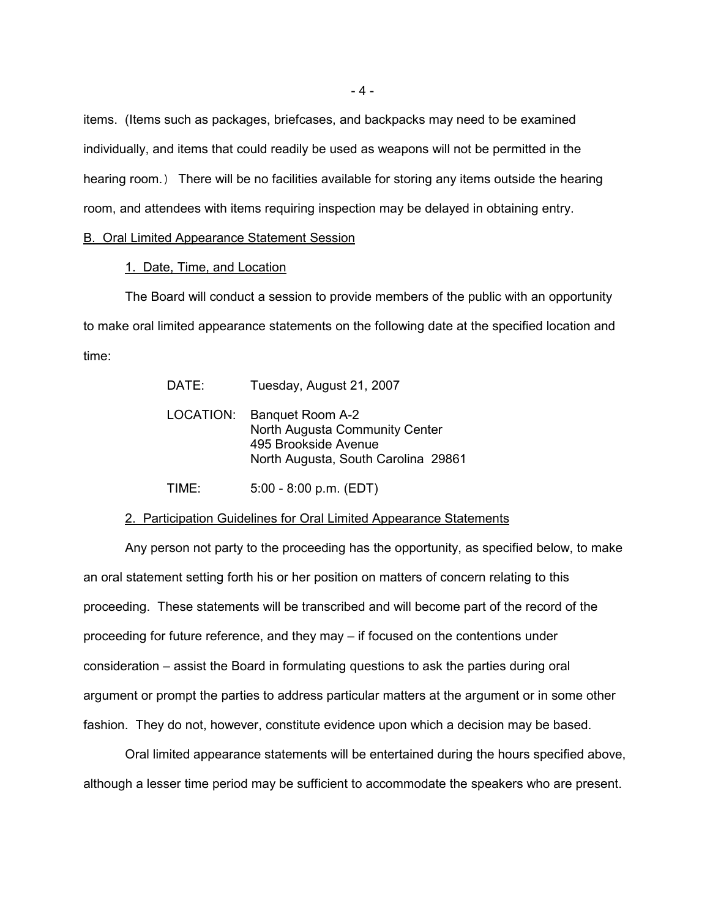items. (Items such as packages, briefcases, and backpacks may need to be examined individually, and items that could readily be used as weapons will not be permitted in the hearing room.) There will be no facilities available for storing any items outside the hearing room, and attendees with items requiring inspection may be delayed in obtaining entry.

#### B. Oral Limited Appearance Statement Session

### 1. Date, Time, and Location

The Board will conduct a session to provide members of the public with an opportunity to make oral limited appearance statements on the following date at the specified location and time:

| DATE: | Tuesday, August 21, 2007                                                                                                    |
|-------|-----------------------------------------------------------------------------------------------------------------------------|
|       | LOCATION: Banquet Room A-2<br>North Augusta Community Center<br>495 Brookside Avenue<br>North Augusta, South Carolina 29861 |
| TIME: | $5:00 - 8:00 p.m. (EDT)$                                                                                                    |

#### 2. Participation Guidelines for Oral Limited Appearance Statements

Any person not party to the proceeding has the opportunity, as specified below, to make an oral statement setting forth his or her position on matters of concern relating to this proceeding. These statements will be transcribed and will become part of the record of the proceeding for future reference, and they may – if focused on the contentions under consideration – assist the Board in formulating questions to ask the parties during oral argument or prompt the parties to address particular matters at the argument or in some other fashion. They do not, however, constitute evidence upon which a decision may be based.

Oral limited appearance statements will be entertained during the hours specified above, although a lesser time period may be sufficient to accommodate the speakers who are present.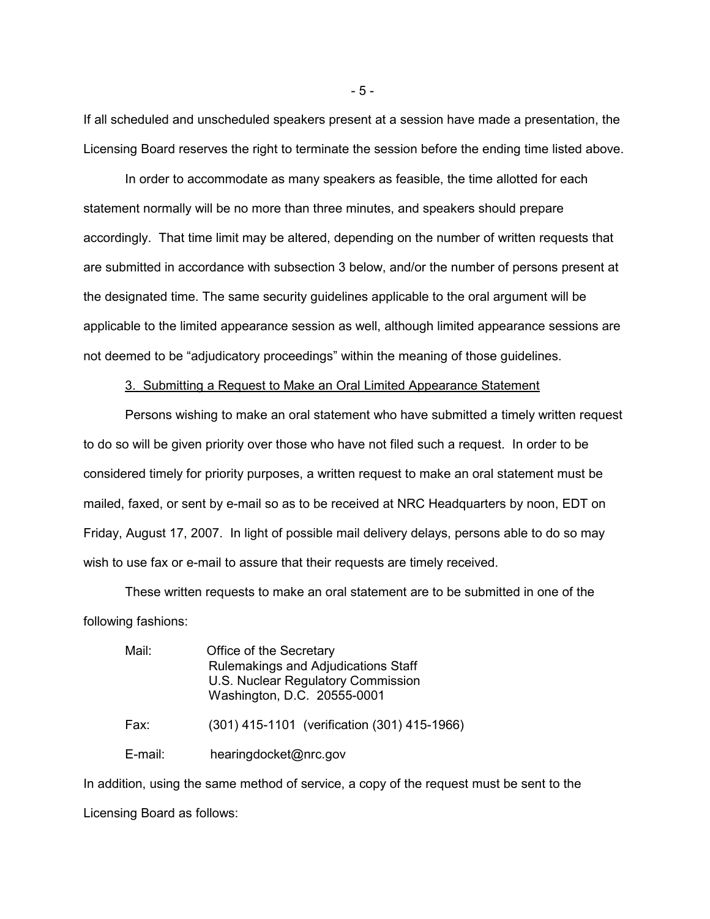If all scheduled and unscheduled speakers present at a session have made a presentation, the Licensing Board reserves the right to terminate the session before the ending time listed above.

In order to accommodate as many speakers as feasible, the time allotted for each statement normally will be no more than three minutes, and speakers should prepare accordingly. That time limit may be altered, depending on the number of written requests that are submitted in accordance with subsection 3 below, and/or the number of persons present at the designated time. The same security guidelines applicable to the oral argument will be applicable to the limited appearance session as well, although limited appearance sessions are not deemed to be "adjudicatory proceedings" within the meaning of those guidelines.

#### 3. Submitting a Request to Make an Oral Limited Appearance Statement

Persons wishing to make an oral statement who have submitted a timely written request to do so will be given priority over those who have not filed such a request. In order to be considered timely for priority purposes, a written request to make an oral statement must be mailed, faxed, or sent by e-mail so as to be received at NRC Headquarters by noon, EDT on Friday, August 17, 2007. In light of possible mail delivery delays, persons able to do so may wish to use fax or e-mail to assure that their requests are timely received.

These written requests to make an oral statement are to be submitted in one of the following fashions:

| Mail:   | Office of the Secretary<br>Rulemakings and Adjudications Staff<br>U.S. Nuclear Regulatory Commission<br>Washington, D.C. 20555-0001 |
|---------|-------------------------------------------------------------------------------------------------------------------------------------|
| Fax:    | (301) 415-1101 (verification (301) 415-1966)                                                                                        |
| E-mail: | hearingdocket@nrc.gov                                                                                                               |

In addition, using the same method of service, a copy of the request must be sent to the Licensing Board as follows:

- 5 -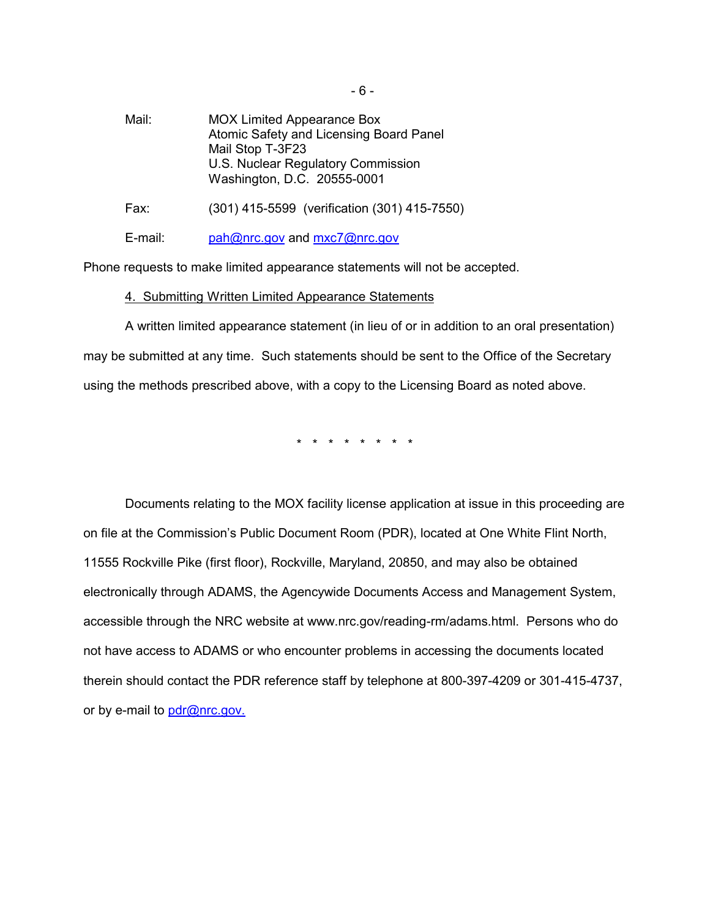Mail: MOX Limited Appearance Box Atomic Safety and Licensing Board Panel Mail Stop T-3F23 U.S. Nuclear Regulatory Commission Washington, D.C. 20555-0001 Fax: (301) 415-5599 (verification (301) 415-7550)

E-mail: pah@nrc.gov and mxc7@nrc.gov

Phone requests to make limited appearance statements will not be accepted.

### 4. Submitting Written Limited Appearance Statements

A written limited appearance statement (in lieu of or in addition to an oral presentation) may be submitted at any time. Such statements should be sent to the Office of the Secretary using the methods prescribed above, with a copy to the Licensing Board as noted above.

\* \* \* \* \* \* \* \*

Documents relating to the MOX facility license application at issue in this proceeding are on file at the Commission's Public Document Room (PDR), located at One White Flint North, 11555 Rockville Pike (first floor), Rockville, Maryland, 20850, and may also be obtained electronically through ADAMS, the Agencywide Documents Access and Management System, accessible through the NRC website at www.nrc.gov/reading-rm/adams.html. Persons who do not have access to ADAMS or who encounter problems in accessing the documents located therein should contact the PDR reference staff by telephone at 800-397-4209 or 301-415-4737, or by e-mail to pdr@nrc.gov.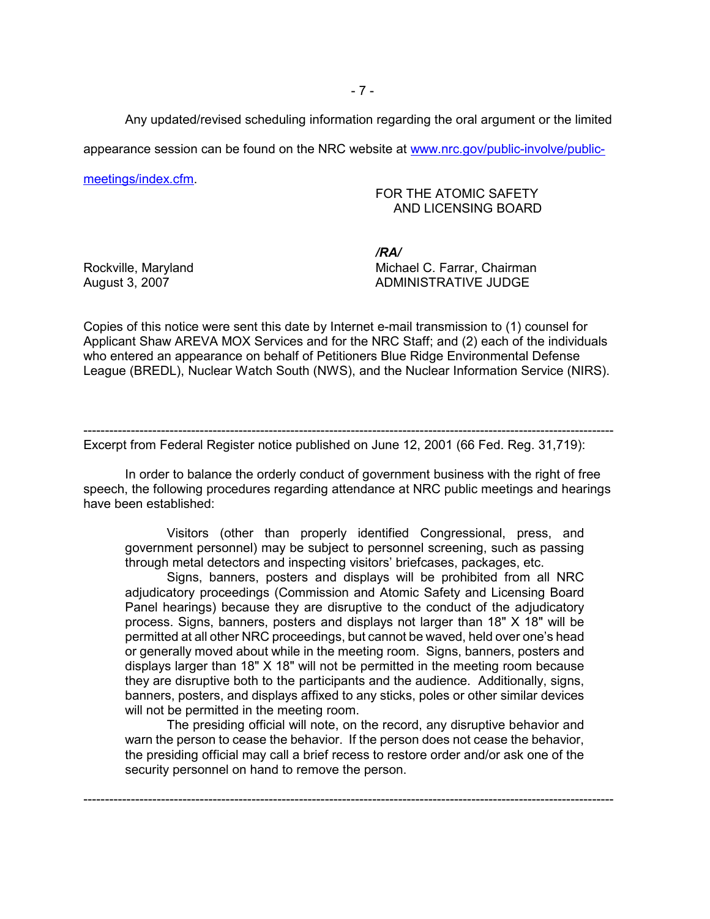Any updated/revised scheduling information regarding the oral argument or the limited

appearance session can be found on the NRC website at www.nrc.gov/public-involve/public-

meetings/index.cfm.

## FOR THE ATOMIC SAFETY AND LICENSING BOARD

*/RA/* Rockville, Maryland **Michael C. Farrar, Chairman** August 3, 2007 **ADMINISTRATIVE JUDGE** 

Copies of this notice were sent this date by Internet e-mail transmission to (1) counsel for Applicant Shaw AREVA MOX Services and for the NRC Staff; and (2) each of the individuals who entered an appearance on behalf of Petitioners Blue Ridge Environmental Defense League (BREDL), Nuclear Watch South (NWS), and the Nuclear Information Service (NIRS).

--------------------------------------------------------------------------------------------------------------------------- Excerpt from Federal Register notice published on June 12, 2001 (66 Fed. Reg. 31,719):

In order to balance the orderly conduct of government business with the right of free speech, the following procedures regarding attendance at NRC public meetings and hearings have been established:

Visitors (other than properly identified Congressional, press, and government personnel) may be subject to personnel screening, such as passing through metal detectors and inspecting visitors' briefcases, packages, etc.

Signs, banners, posters and displays will be prohibited from all NRC adjudicatory proceedings (Commission and Atomic Safety and Licensing Board Panel hearings) because they are disruptive to the conduct of the adjudicatory process. Signs, banners, posters and displays not larger than 18" X 18" will be permitted at all other NRC proceedings, but cannot be waved, held over one's head or generally moved about while in the meeting room. Signs, banners, posters and displays larger than 18" X 18" will not be permitted in the meeting room because they are disruptive both to the participants and the audience. Additionally, signs, banners, posters, and displays affixed to any sticks, poles or other similar devices will not be permitted in the meeting room.

The presiding official will note, on the record, any disruptive behavior and warn the person to cease the behavior. If the person does not cease the behavior, the presiding official may call a brief recess to restore order and/or ask one of the security personnel on hand to remove the person.

---------------------------------------------------------------------------------------------------------------------------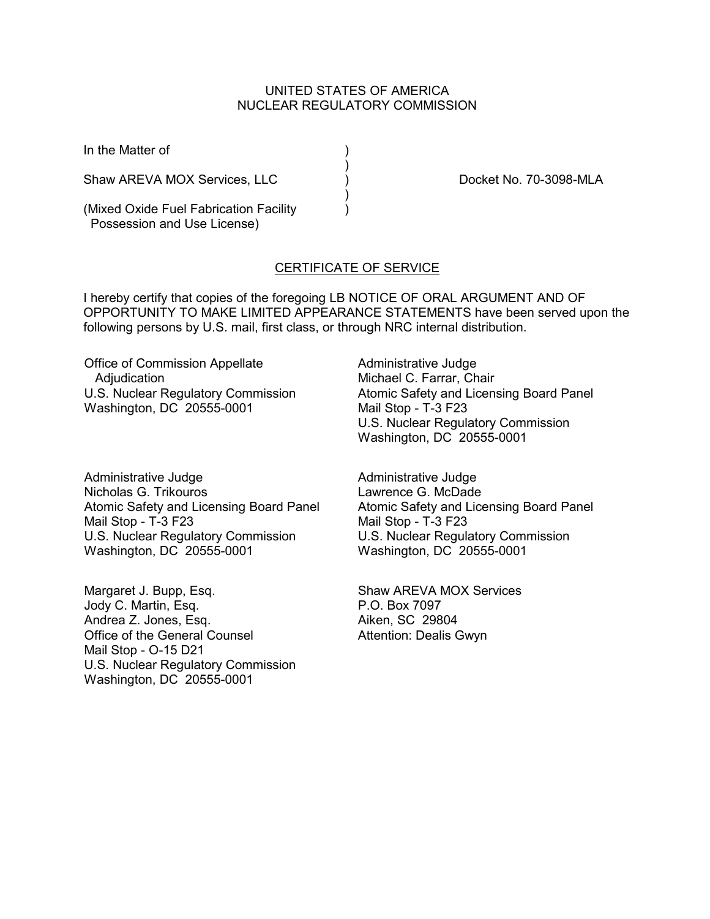## UNITED STATES OF AMERICA NUCLEAR REGULATORY COMMISSION

)<br>)

)

In the Matter of (1)

Shaw AREVA MOX Services, LLC (and ) Docket No. 70-3098-MLA

(Mixed Oxide Fuel Fabrication Facility ) Possession and Use License)

# CERTIFICATE OF SERVICE

I hereby certify that copies of the foregoing LB NOTICE OF ORAL ARGUMENT AND OF OPPORTUNITY TO MAKE LIMITED APPEARANCE STATEMENTS have been served upon the following persons by U.S. mail, first class, or through NRC internal distribution.

Office of Commission Appellate **Adjudication** U.S. Nuclear Regulatory Commission Washington, DC 20555-0001

Administrative Judge Nicholas G. Trikouros Atomic Safety and Licensing Board Panel Mail Stop - T-3 F23 U.S. Nuclear Regulatory Commission Washington, DC 20555-0001

Margaret J. Bupp, Esq. Jody C. Martin, Esq. Andrea Z. Jones, Esq. Office of the General Counsel Mail Stop - O-15 D21 U.S. Nuclear Regulatory Commission Washington, DC 20555-0001

Administrative Judge Michael C. Farrar, Chair Atomic Safety and Licensing Board Panel Mail Stop - T-3 F23 U.S. Nuclear Regulatory Commission Washington, DC 20555-0001

Administrative Judge Lawrence G. McDade Atomic Safety and Licensing Board Panel Mail Stop - T-3 F23 U.S. Nuclear Regulatory Commission Washington, DC 20555-0001

Shaw AREVA MOX Services P.O. Box 7097 Aiken, SC 29804 Attention: Dealis Gwyn